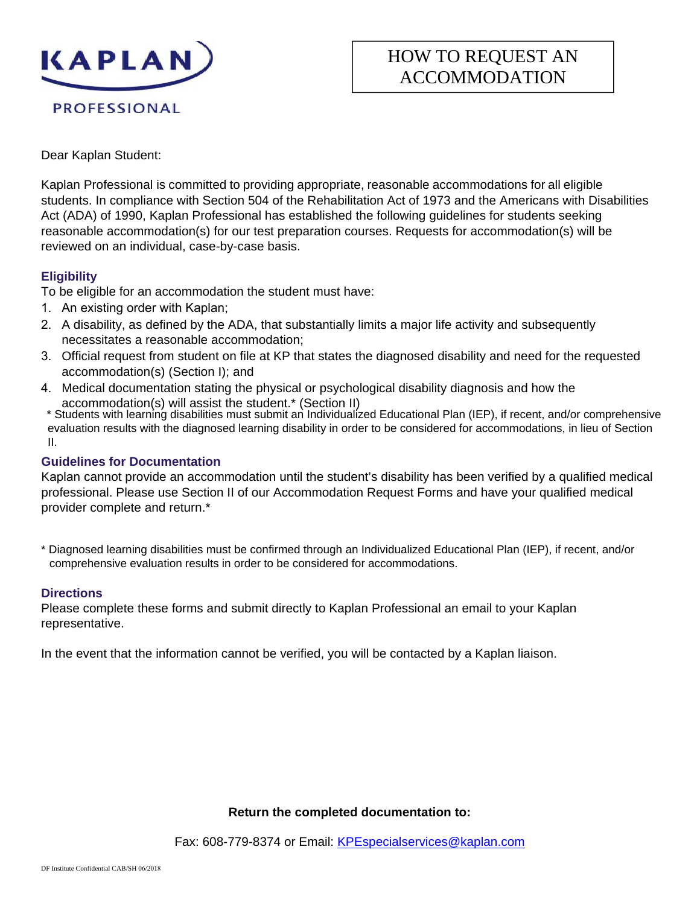

Dear Kaplan Student:

Kaplan Professional is committed to providing appropriate, reasonable accommodations for all eligible students. In compliance with Section 504 of the Rehabilitation Act of 1973 and the Americans with Disabilities Act (ADA) of 1990, Kaplan Professional has established the following guidelines for students seeking reasonable accommodation(s) for our test preparation courses. Requests for accommodation(s) will be reviewed on an individual, case-by-case basis.

## **Eligibility**

To be eligible for an accommodation the student must have:

- 1. An existing order with Kaplan;
- 2. A disability, as defined by the ADA, that substantially limits a major life activity and subsequently necessitates a reasonable accommodation;
- 3. Official request from student on file at KP that states the diagnosed disability and need for the requested accommodation(s) (Section I); and
- 4. Medical documentation stating the physical or psychological disability diagnosis and how the accommodation(s) will assist the student.\* (Section II)

\* Students with learning disabilities must submit an Individualized Educational Plan (IEP), if recent, and/or comprehensive evaluation results with the diagnosed learning disability in order to be considered for accommodations, in lieu of Section II.

## **Guidelines for Documentation**

Kaplan cannot provide an accommodation until the student's disability has been verified by a qualified medical professional. Please use Section II of our Accommodation Request Forms and have your qualified medical provider complete and return.\*

\* Diagnosed learning disabilities must be confirmed through an Individualized Educational Plan (IEP), if recent, and/or comprehensive evaluation results in order to be considered for accommodations.

## **Directions**

Please complete these forms and submit directly to Kaplan Professional an email to your Kaplan representative.

In the event that the information cannot be verified, you will be contacted by a Kaplan liaison.

#### **Return the completed documentation to:**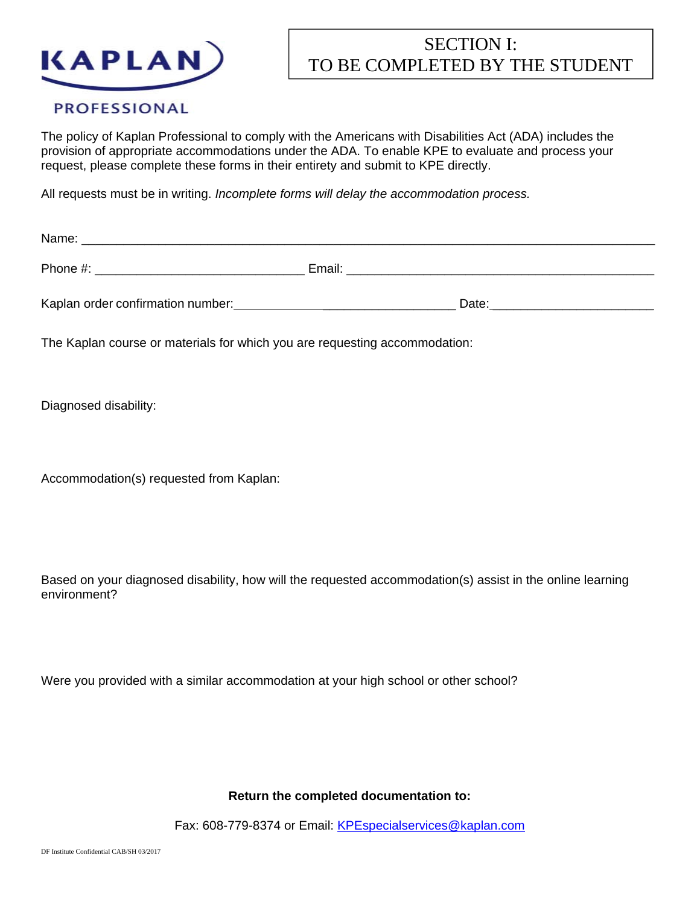

## SECTION I: TO BE COMPLETED BY THE STUDENT

## **PROFESSIONAL**

The policy of Kaplan Professional to comply with the Americans with Disabilities Act (ADA) includes the provision of appropriate accommodations under the ADA. To enable KPE to evaluate and process your request, please complete these forms in their entirety and submit to KPE directly.

All requests must be in writing. *Incomplete forms will delay the accommodation process.*

| Name:                             |        |       |
|-----------------------------------|--------|-------|
| Phone #:                          | Email: |       |
| Kaplan order confirmation number: |        | Date: |

The Kaplan course or materials for which you are requesting accommodation:

Diagnosed disability:

Accommodation(s) requested from Kaplan:

Based on your diagnosed disability, how will the requested accommodation(s) assist in the online learning environment?

Were you provided with a similar accommodation at your high school or other school?

**Return the completed documentation to:**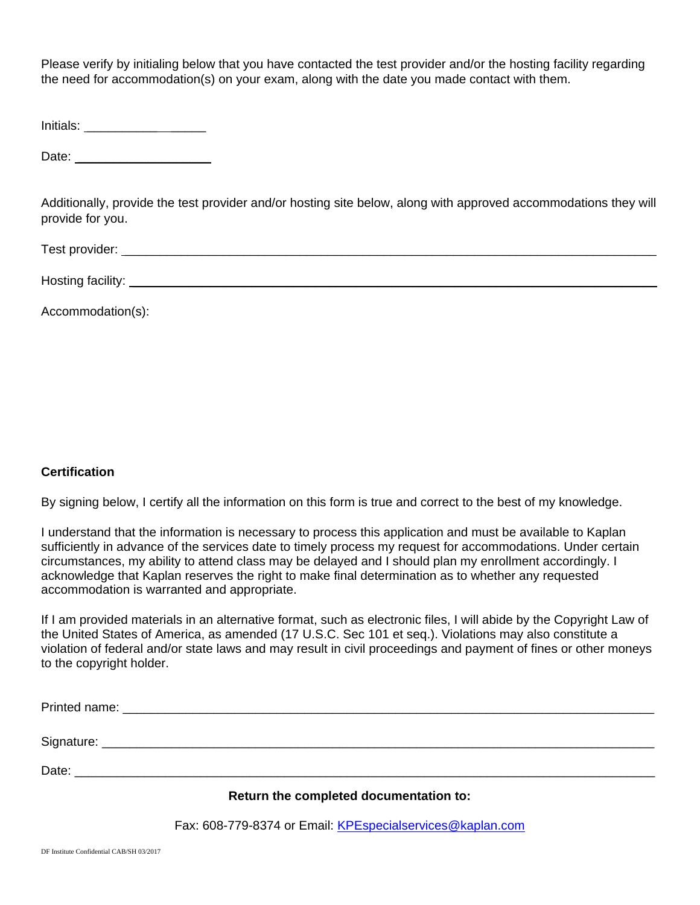Please verify by initialing below that you have contacted the test provider and/or the hosting facility regarding the need for accommodation(s) on your exam, along with the date you made contact with them.

Initials: \_\_\_\_\_\_\_\_\_\_ \_\_\_\_\_

Date:  $\Box$ 

Additionally, provide the test provider and/or hosting site below, along with approved accommodations they will provide for you.

Test provider: **with a set of the set of the set of the set of the set of the set of the set of the set of the set of the set of the set of the set of the set of the set of the set of the set of the set of the set of the s** 

Hosting facility:  $\blacksquare$ 

Accommodation(s):

## **Certification**

By signing below, I certify all the information on this form is true and correct to the best of my knowledge.

I understand that the information is necessary to process this application and must be available to Kaplan sufficiently in advance of the services date to timely process my request for accommodations. Under certain circumstances, my ability to attend class may be delayed and I should plan my enrollment accordingly. I acknowledge that Kaplan reserves the right to make final determination as to whether any requested accommodation is warranted and appropriate.

If I am provided materials in an alternative format, such as electronic files, I will abide by the Copyright Law of the United States of America, as amended (17 U.S.C. Sec 101 et seq.). Violations may also constitute a violation of federal and/or state laws and may result in civil proceedings and payment of fines or other moneys to the copyright holder.

|                                        | Date: the contract of the contract of the contract of the contract of the contract of the contract of the contract of the contract of the contract of the contract of the contract of the contract of the contract of the cont |  |
|----------------------------------------|--------------------------------------------------------------------------------------------------------------------------------------------------------------------------------------------------------------------------------|--|
| Return the completed documentation to: |                                                                                                                                                                                                                                |  |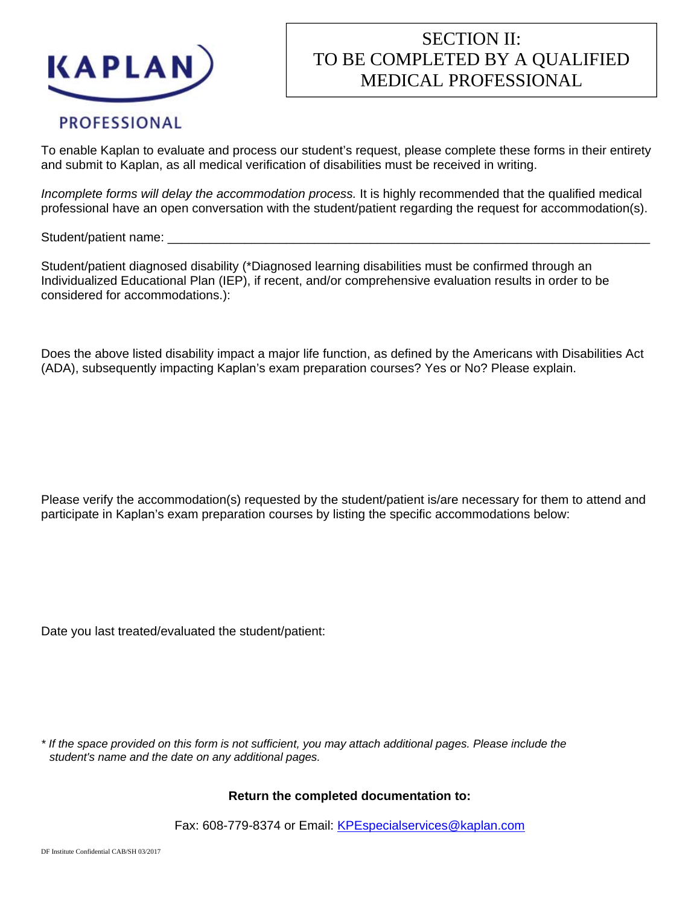

# SECTION II: TO BE COMPLETED BY A QUALIFIED MEDICAL PROFESSIONAL

## **PROFESSIONAL**

To enable Kaplan to evaluate and process our student's request, please complete these forms in their entirety and submit to Kaplan, as all medical verification of disabilities must be received in writing.

*Incomplete forms will delay the accommodation process.* It is highly recommended that the qualified medical professional have an open conversation with the student/patient regarding the request for accommodation(s).

Student/patient name:

Student/patient diagnosed disability (\*Diagnosed learning disabilities must be confirmed through an Individualized Educational Plan (IEP), if recent, and/or comprehensive evaluation results in order to be considered for accommodations.):

Does the above listed disability impact a major life function, as defined by the Americans with Disabilities Act (ADA), subsequently impacting Kaplan's exam preparation courses? Yes or No? Please explain.

Please verify the accommodation(s) requested by the student/patient is/are necessary for them to attend and participate in Kaplan's exam preparation courses by listing the specific accommodations below:

Date you last treated/evaluated the student/patient:

*\* If the space provided on this form is not sufficient, you may attach additional pages. Please include the student's name and the date on any additional pages.*

#### **Return the completed documentation to:**